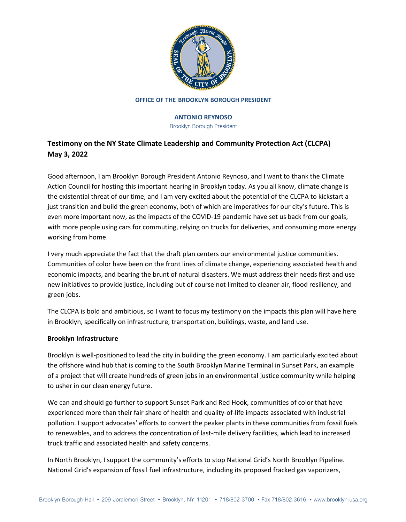

# **ANTONIO REYNOSO**

Brooklyn Borough President

# **Testimony on the NY State Climate Leadership and Community Protection Act (CLCPA) May 3, 2022**

Good afternoon, I am Brooklyn Borough President Antonio Reynoso, and I want to thank the Climate Action Council for hosting this important hearing in Brooklyn today. As you all know, climate change is the existential threat of our time, and I am very excited about the potential of the CLCPA to kickstart a just transition and build the green economy, both of which are imperatives for our city's future. This is even more important now, as the impacts of the COVID-19 pandemic have set us back from our goals, with more people using cars for commuting, relying on trucks for deliveries, and consuming more energy working from home.

I very much appreciate the fact that the draft plan centers our environmental justice communities. Communities of color have been on the front lines of climate change, experiencing associated health and economic impacts, and bearing the brunt of natural disasters. We must address their needs first and use new initiatives to provide justice, including but of course not limited to cleaner air, flood resiliency, and green jobs.

The CLCPA is bold and ambitious, so I want to focus my testimony on the impacts this plan will have here in Brooklyn, specifically on infrastructure, transportation, buildings, waste, and land use.

## **Brooklyn Infrastructure**

Brooklyn is well-positioned to lead the city in building the green economy. I am particularly excited about the offshore wind hub that is coming to the South Brooklyn Marine Terminal in Sunset Park, an example of a project that will create hundreds of green jobs in an environmental justice community while helping to usher in our clean energy future.

We can and should go further to support Sunset Park and Red Hook, communities of color that have experienced more than their fair share of health and quality-of-life impacts associated with industrial pollution. I support advocates' efforts to convert the peaker plants in these communities from fossil fuels to renewables, and to address the concentration of last-mile delivery facilities, which lead to increased truck traffic and associated health and safety concerns.

In North Brooklyn, I support the community's efforts to stop National Grid's North Brooklyn Pipeline. National Grid's expansion of fossil fuel infrastructure, including its proposed fracked gas vaporizers,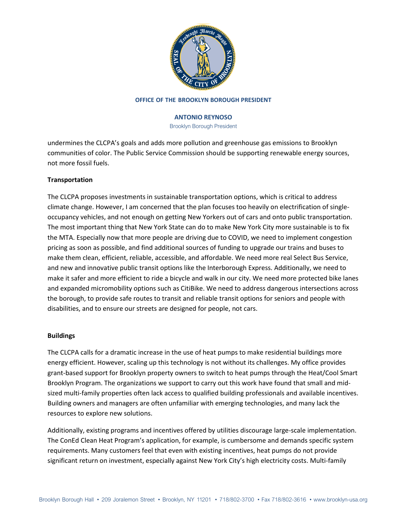

## **ANTONIO REYNOSO**

Brooklyn Borough President

undermines the CLCPA's goals and adds more pollution and greenhouse gas emissions to Brooklyn communities of color. The Public Service Commission should be supporting renewable energy sources, not more fossil fuels.

## **Transportation**

The CLCPA proposes investments in sustainable transportation options, which is critical to address climate change. However, I am concerned that the plan focuses too heavily on electrification of singleoccupancy vehicles, and not enough on getting New Yorkers out of cars and onto public transportation. The most important thing that New York State can do to make New York City more sustainable is to fix the MTA. Especially now that more people are driving due to COVID, we need to implement congestion pricing as soon as possible, and find additional sources of funding to upgrade our trains and buses to make them clean, efficient, reliable, accessible, and affordable. We need more real Select Bus Service, and new and innovative public transit options like the Interborough Express. Additionally, we need to make it safer and more efficient to ride a bicycle and walk in our city. We need more protected bike lanes and expanded micromobility options such as CitiBike. We need to address dangerous intersections across the borough, to provide safe routes to transit and reliable transit options for seniors and people with disabilities, and to ensure our streets are designed for people, not cars.

## **Buildings**

The CLCPA calls for a dramatic increase in the use of heat pumps to make residential buildings more energy efficient. However, scaling up this technology is not without its challenges. My office provides grant-based support for Brooklyn property owners to switch to heat pumps through the Heat/Cool Smart Brooklyn Program. The organizations we support to carry out this work have found that small and midsized multi-family properties often lack access to qualified building professionals and available incentives. Building owners and managers are often unfamiliar with emerging technologies, and many lack the resources to explore new solutions.

Additionally, existing programs and incentives offered by utilities discourage large-scale implementation. The ConEd Clean Heat Program's application, for example, is cumbersome and demands specific system requirements. Many customers feel that even with existing incentives, heat pumps do not provide significant return on investment, especially against New York City's high electricity costs. Multi-family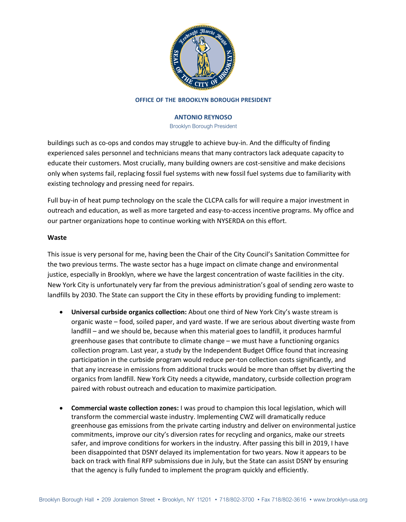

## **ANTONIO REYNOSO**

Brooklyn Borough President

buildings such as co-ops and condos may struggle to achieve buy-in. And the difficulty of finding experienced sales personnel and technicians means that many contractors lack adequate capacity to educate their customers. Most crucially, many building owners are cost-sensitive and make decisions only when systems fail, replacing fossil fuel systems with new fossil fuel systems due to familiarity with existing technology and pressing need for repairs.

Full buy-in of heat pump technology on the scale the CLCPA calls for will require a major investment in outreach and education, as well as more targeted and easy-to-access incentive programs. My office and our partner organizations hope to continue working with NYSERDA on this effort.

## **Waste**

This issue is very personal for me, having been the Chair of the City Council's Sanitation Committee for the two previous terms. The waste sector has a huge impact on climate change and environmental justice, especially in Brooklyn, where we have the largest concentration of waste facilities in the city. New York City is unfortunately very far from the previous administration's goal of sending zero waste to landfills by 2030. The State can support the City in these efforts by providing funding to implement:

- **Universal curbside organics collection:** About one third of New York City's waste stream is organic waste – food, soiled paper, and yard waste. If we are serious about diverting waste from landfill – and we should be, because when this material goes to landfill, it produces harmful greenhouse gases that contribute to climate change – we must have a functioning organics collection program. Last year, a study by the Independent Budget Office found that increasing participation in the curbside program would reduce per-ton collection costs significantly, and that any increase in emissions from additional trucks would be more than offset by diverting the organics from landfill. New York City needs a citywide, mandatory, curbside collection program paired with robust outreach and education to maximize participation.
- **Commercial waste collection zones:** I was proud to champion this local legislation, which will transform the commercial waste industry. Implementing CWZ will dramatically reduce greenhouse gas emissions from the private carting industry and deliver on environmental justice commitments, improve our city's diversion rates for recycling and organics, make our streets safer, and improve conditions for workers in the industry. After passing this bill in 2019, I have been disappointed that DSNY delayed its implementation for two years. Now it appears to be back on track with final RFP submissions due in July, but the State can assist DSNY by ensuring that the agency is fully funded to implement the program quickly and efficiently.